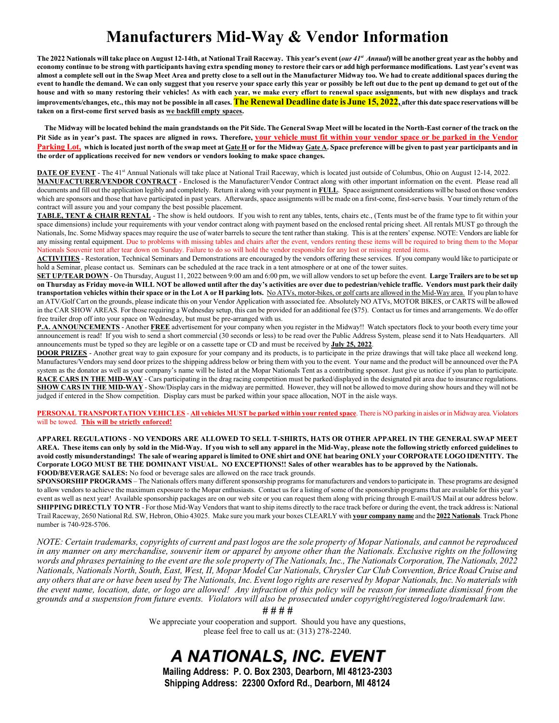## **Manufacturers Mid-Way & Vendor Information**

The 2022 Nationals will take place on August 12-14th, at National Trail Raceway. This year's event (our 41st Annual) will be another great year as the hobby and **economy continue to be strong with participants having extra spending money to restore their cars or add high performance modifications. Last year's event was almost a complete sell out in the Swap Meet Area and pretty close to a sell out in the Manufacturer Midway too. We had to create additional spaces during the event to handle the demand. We can only suggest that you reserve your space early this year or possibly be left out due to the pent up demand to get out of the house and with so many restoring their vehicles! As with each year, we make every effort to renewal space assignments, but with new displays and track improvements/changes, etc., this may not be possible in all cases. The Renewal Deadline date is June 15, 2022, after this date space reservations will be taken on a first-come first served basis as we backfill empty spaces.**

 **The Midway will be located behind the main grandstands on the Pit Side. The General Swap Meet will be located in the North-East corner of the track on the Pit Side as in year's past. The spaces are aligned in rows. Therefore, your vehicle must fit within your vendor space or be parked in the Vendor Parking Lot, which is located just north of the swap meet at Gate H or for the Midway Gate A. Space preference will be given to past year participants and in the order of applications received for new vendors or vendors looking to make space changes.**

**DATE OF EVENT** - The 41<sup>st</sup> Annual Nationals will take place at National Trail Raceway, which is located just outside of Columbus, Ohio on August 12-14, 2022. **MANUFACTURER/VENDOR CONTRACT** - Enclosed is the Manufacturer/Vendor Contract along with other important information on the event. Please read all documents and fill out the application legibly and completely. Return it along with your payment in **FULL**. Space assignment considerations will be based on those vendors which are sponsors and those that have participated in past years. Afterwards, space assignments will be made on a first-come, first-serve basis. Your timely return of the contract will assure you and your company the best possible placement.

**TABLE, TENT & CHAIR RENTAL** - The show is held outdoors. If you wish to rent any tables, tents, chairs etc., (Tents must be of the frame type to fit within your space dimensions) include your requirements with your vendor contract along with payment based on the enclosed rental pricing sheet. All rentals MUST go through the Nationals, Inc. Some Midway spaces may require the use of water barrels to secure the tent rather than staking. This is at the renters' expense. NOTE: Vendors are liable for any missing rental equipment. Due to problems with missing tables and chairs after the event, vendors renting these items will be required to bring them to the Mopar Nationals Souvenir tent after tear down on Sunday. Failure to do so will hold the vendor responsible for any lost or missing rented items.

**ACTIVITIES** - Restoration, Technical Seminars and Demonstrations are encouraged by the vendors offering these services. If you company would like to participate or hold a Seminar, please contact us. Seminars can be scheduled at the race track in a tent atmosphere or at one of the tower suites.

**SET UP/TEAR DOWN** - On Thursday, August 11, 2022 between 9:00 am and 6:00 pm, we will allow vendors to set up before the event. **LargeTrailers are to be set up on Thursday as Friday move-in WILL NOT be allowed until after the day's activities are over due to pedestrian/vehicle traffic. Vendors must park their daily**  transportation vehicles within their space or in the Lot A or H parking lots. No ATVs, motor-bikes, or golf carts are allowed in the Mid-Way area. If you plan to have an ATV/Golf Cart on the grounds, please indicate this on your Vendor Application with associated fee. Absolutely NO ATVs, MOTOR BIKES, or CARTS will be allowed in the CAR SHOW AREAS. For those requiring a Wednesday setup, this can be provided for an additional fee (\$75). Contact us for times and arrangements. We do offer free trailer drop off into your space on Wednesday, but must be pre-arranged with us.

**P.A. ANNOUNCEMENTS** - Another **FREE** advertisement for your company when you register in the Midway!! Watch spectators flock to your booth every time your announcement is read! If you wish to send a short commercial (30 seconds or less) to be read over the Public Address System, please send it to Nats Headquarters. All announcements must be typed so they are legible or on a cassette tape or CD and must be received by **July 25, 2022**.

**DOOR PRIZES** - Another great way to gain exposure for your company and its products, is to participate in the prize drawings that will take place all weekend long. Manufactures/Vendors may send door prizes to the shipping address below or bring them with you to the event. Your name and the product will be announced over the PA system as the donator as well as your company's name will be listed at the Mopar Nationals Tent as a contributing sponsor. Just give us notice if you plan to participate. **RACE CARS IN THE MID-WAY** - Cars participating in the drag racing competition must be parked/displayed in the designated pit area due to insurance regulations. **SHOW CARS IN THE MID-WAY** - Show/Display cars in the midway are permitted. However, they will not be allowed to move during show hours and they will not be judged if entered in the Show competition. Display cars must be parked within your space allocation, NOT in the aisle ways.

**PERSONAL TRANSPORTATION VEHICLES** - **All vehicles MUST be parked within your rented space**. There is NO parking in aisles or in Midway area. Violators will be towed. **This will be strictly enforced!**

**APPAREL REGULATIONS** - **NO VENDORS ARE ALLOWED TO SELL T-SHIRTS, HATS OR OTHER APPAREL IN THE GENERAL SWAP MEET AREA. These items can only by sold in the Mid-Way. If you wish to sell any apparel in the Mid-Way, please note the following strictly enforced guidelines to avoid costly misunderstandings! The sale of wearing apparel is limited to ONE shirt and ONE hat bearing ONLY your CORPORATE LOGO IDENTITY. The Corporate LOGO MUST BE THE DOMINANT VISUAL. NO EXCEPTIONS!! Sales of other wearables has to be approved by the Nationals. FOOD/BEVERAGE SALES:** No food or beverage sales are allowed on the race track grounds.

**SPONSORSHIP PROGRAMS** – The Nationals offers many different sponsorship programs for manufacturers and vendors to participate in. These programs are designed to allow vendors to achieve the maximum exposure to the Mopar enthusiasts. Contact us for a listing of some of the sponsorship programs that are available for this year's event as well as next year! Available sponsorship packages are on our web site or you can request them along with pricing through E-mail/US Mail at our address below. **SHIPPING DIRECTLY TO NTR** - For those Mid-Way Vendors that want to ship items directly to the race track before or during the event, the track address is: National Trail Raceway, 2650 National Rd. SW, Hebron, Ohio 43025. Make sure you mark your boxes CLEARLY with **your company name** and the **2022 Nationals**. Track Phone number is 740-928-5706.

*NOTE: Certain trademarks, copyrights of current and past logos are the sole property of Mopar Nationals, and cannot be reproduced in any manner on any merchandise, souvenir item or apparel by anyone other than the Nationals. Exclusive rights on the following words and phrases pertaining to the event are the sole property of The Nationals, Inc., The Nationals Corporation, The Nationals, 2022 Nationals, Nationals North, South, East, West, II, Mopar Model Car Nationals, Chrysler Car Club Convention, Brice Road Cruise and any others that are or have been used by The Nationals, Inc. Event logo rights are reserved by Mopar Nationals, Inc. No materials with the event name, location, date, or logo are allowed! Any infraction of this policy will be reason for immediate dismissal from the grounds and a suspension from future events. Violators will also be prosecuted under copyright/registered logo/trademark law.*

*# # # #*

We appreciate your cooperation and support. Should you have any questions, please feel free to call us at: (313) 278-2240.

# *A NATIONALS, INC. EVENT*

**Mailing Address: P. O. Box 2303, Dearborn, MI 48123-2303 Shipping Address: 22300 Oxford Rd., Dearborn, MI 48124**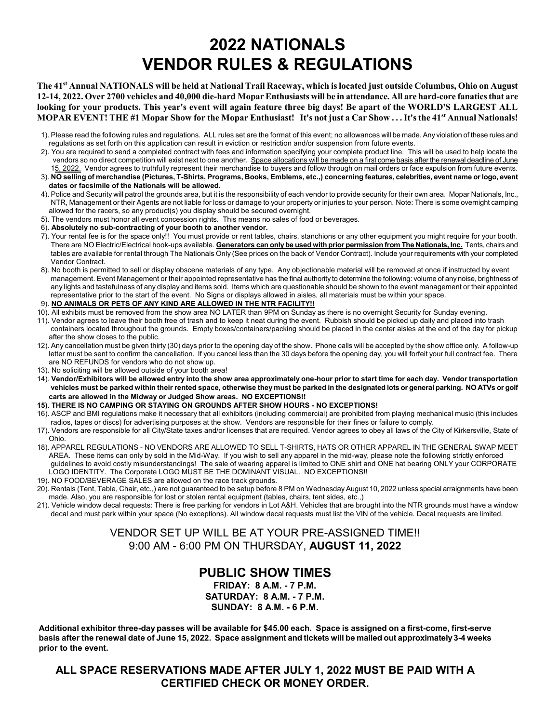# **2022 NATIONALS VENDOR RULES & REGULATIONS**

**The 41 st Annual NATIONALS will be held at National Trail Raceway, which is located just outside Columbus, Ohio on August 12-14, 2022. Over 2700 vehicles and 40,000 die-hard Mopar Enthusiasts will be in attendance. All are hard-core fanaticsthat are looking for your products. This year's event will again feature three big days! Be apart of the WORLD'S LARGEST ALL MOPAR EVENT! THE #1 Mopar Show for the Mopar Enthusiast! It's not just a Car Show . . . It's the 41st Annual Nationals!**

- 1). Please read the following rules and regulations. ALL rules set are the format of this event; no allowances will be made. Any violation of these rules and regulations as set forth on this application can result in eviction or restriction and/or suspension from future events.
- 2). You are required to send a completed contract with fees and information specifying your complete product line. This will be used to help locate the vendors so no direct competition will exist next to one another. Space allocations will be made on a first come basis after the renewal deadline of June 15, 2022. Vendor agrees to truthfully represent their merchandise to buyers and follow through on mail orders or face expulsion from future events.
- 3). **NO selling of merchandise (Pictures, T-Shirts, Programs, Books, Emblems, etc.,) concerning features, celebrities, event name or logo, event dates or facsimile of the Nationals will be allowed.**
- 4). Police and Security will patrol the grounds area, but it is the responsibility of each vendor to provide security for their own area. Mopar Nationals, Inc., NTR, Management or their Agents are not liable for loss or damage to your property or injuries to your person. Note: There is some overnight camping allowed for the racers, so any product(s) you display should be secured overnight.
- 5). The vendors must honor all event concession rights. This means no sales of food or beverages.
- 6). **Absolutely no sub-contracting of your booth to another vendor.**
- 7). Your rental fee is for the space only!! You must provide or rent tables, chairs, stanchions or any other equipment you might require for your booth. There are NO Electric/Electrical hook-ups available. **Generators can only be used with prior permission from The Nationals, Inc.** Tents, chairs and tables are available for rental through The Nationals Only (See prices on the back of Vendor Contract). Include your requirements with your completed Vendor Contract.
- 8). No booth is permitted to sell or display obscene materials of any type. Any objectionable material will be removed at once if instructed by event management. Event Management or their appointed representative has the final authority to determine the following: volume of any noise, brightness of any lights and tastefulness of any display and items sold. Items which are questionable should be shown to the event management or their appointed representative prior to the start of the event. No Signs or displays allowed in aisles, all materials must be within your space.
- 9). **NO ANIMALS OR PETS OF ANY KIND ARE ALLOWED IN THE NTR FACILITY!!**
- 10). All exhibits must be removed from the show area NO LATER than 9PM on Sunday as there is no overnight Security for Sunday evening.
- 11). Vendor agrees to leave their booth free of trash and to keep it neat during the event. Rubbish should be picked up daily and placed into trash containers located throughout the grounds. Empty boxes/containers/packing should be placed in the center aisles at the end of the day for pickup after the show closes to the public.
- 12). Any cancellation must be given thirty (30) days prior to the opening day of the show. Phone calls will be accepted by the show office only. A follow-up letter must be sent to confirm the cancellation. If you cancel less than the 30 days before the opening day, you will forfeit your full contract fee. There are NO REFUNDS for vendors who do not show up.
- 13). No soliciting will be allowed outside of your booth area!
- 14). **Vendor/Exhibitors will be allowed entry into the show area approximately one-hour prior to start time for each day. Vendor transportation vehicles must be parked within their rented space, otherwise they must be parked in the designated lots or general parking. NO ATVs or golf carts are allowed in the Midway or Judged Show areas. NO EXCEPTIONS!!**
- **15). THERE IS NO CAMPING OR STAYING ON GROUNDS AFTER SHOW HOURS - NO EXCEPTIONS!**
- 16). ASCP and BMI regulations make it necessary that all exhibitors (including commercial) are prohibited from playing mechanical music (this includes radios, tapes or discs) for advertising purposes at the show. Vendors are responsible for their fines or failure to comply.
- 17). Vendors are responsible for all City/State taxes and/or licenses that are required. Vendor agrees to obey all laws of the City of Kirkersville, State of Ohio.
- 18). APPAREL REGULATIONS NO VENDORS ARE ALLOWED TO SELL T-SHIRTS, HATS OR OTHER APPAREL IN THE GENERAL SWAP MEET AREA. These items can only by sold in the Mid-Way. If you wish to sell any apparel in the mid-way, please note the following strictly enforced guidelines to avoid costly misunderstandings! The sale of wearing apparel is limited to ONE shirt and ONE hat bearing ONLY your CORPORATE LOGO IDENTITY. The Corporate LOGO MUST BE THE DOMINANT VISUAL. NO EXCEPTIONS!!
- 19). NO FOOD/BEVERAGE SALES are allowed on the race track grounds.
- 20). Rentals (Tent, Table, Chair, etc.,) are not guaranteed to be setup before 8 PM on Wednesday August 10, 2022 unless special arraignments have been made. Also, you are responsible for lost or stolen rental equipment (tables, chairs, tent sides, etc.,)
- 21). Vehicle window decal requests: There is free parking for vendors in Lot A&H. Vehicles that are brought into the NTR grounds must have a window decal and must park within your space (No exceptions). All window decal requests must list the VIN of the vehicle. Decal requests are limited.

VENDOR SET UP WILL BE AT YOUR PRE-ASSIGNED TIME!! 9:00 AM - 6:00 PM ON THURSDAY, **AUGUST 11, 2022**

### **PUBLIC SHOW TIMES**

**FRIDAY: 8 A.M. - 7 P.M. SATURDAY: 8 A.M. - 7 P.M. SUNDAY: 8 A.M. - 6 P.M.** 

**Additional exhibitor three-day passes will be available for \$45.00 each. Space is assigned on a first-come, first-serve basis after the renewal date of June 15, 2022. Space assignment and tickets will be mailed out approximately 3-4 weeks prior to the event.**

**ALL SPACE RESERVATIONS MADE AFTER JULY 1, 2022 MUST BE PAID WITH A CERTIFIED CHECK OR MONEY ORDER.**